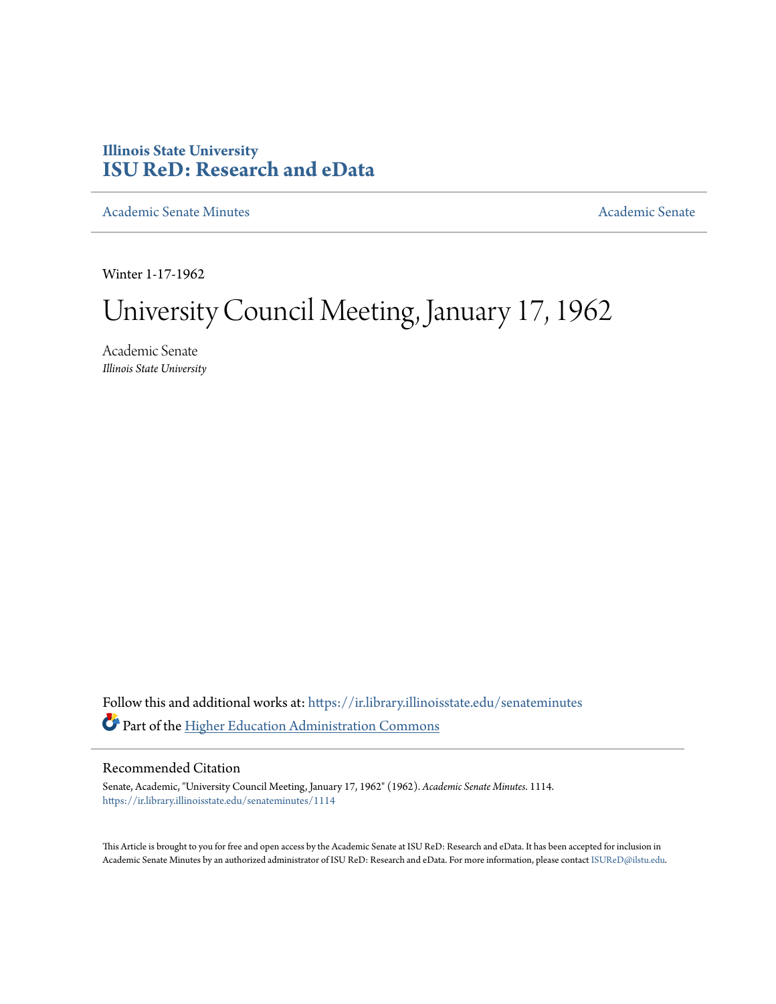## **Illinois State University [ISU ReD: Research and eData](https://ir.library.illinoisstate.edu?utm_source=ir.library.illinoisstate.edu%2Fsenateminutes%2F1114&utm_medium=PDF&utm_campaign=PDFCoverPages)**

[Academic Senate Minutes](https://ir.library.illinoisstate.edu/senateminutes?utm_source=ir.library.illinoisstate.edu%2Fsenateminutes%2F1114&utm_medium=PDF&utm_campaign=PDFCoverPages) [Academic Senate](https://ir.library.illinoisstate.edu/senate?utm_source=ir.library.illinoisstate.edu%2Fsenateminutes%2F1114&utm_medium=PDF&utm_campaign=PDFCoverPages) Academic Senate

Winter 1-17-1962

# University Council Meeting, January 17, 1962

Academic Senate *Illinois State University*

Follow this and additional works at: [https://ir.library.illinoisstate.edu/senateminutes](https://ir.library.illinoisstate.edu/senateminutes?utm_source=ir.library.illinoisstate.edu%2Fsenateminutes%2F1114&utm_medium=PDF&utm_campaign=PDFCoverPages) Part of the [Higher Education Administration Commons](http://network.bepress.com/hgg/discipline/791?utm_source=ir.library.illinoisstate.edu%2Fsenateminutes%2F1114&utm_medium=PDF&utm_campaign=PDFCoverPages)

## Recommended Citation

Senate, Academic, "University Council Meeting, January 17, 1962" (1962). *Academic Senate Minutes*. 1114. [https://ir.library.illinoisstate.edu/senateminutes/1114](https://ir.library.illinoisstate.edu/senateminutes/1114?utm_source=ir.library.illinoisstate.edu%2Fsenateminutes%2F1114&utm_medium=PDF&utm_campaign=PDFCoverPages)

This Article is brought to you for free and open access by the Academic Senate at ISU ReD: Research and eData. It has been accepted for inclusion in Academic Senate Minutes by an authorized administrator of ISU ReD: Research and eData. For more information, please contact [ISUReD@ilstu.edu.](mailto:ISUReD@ilstu.edu)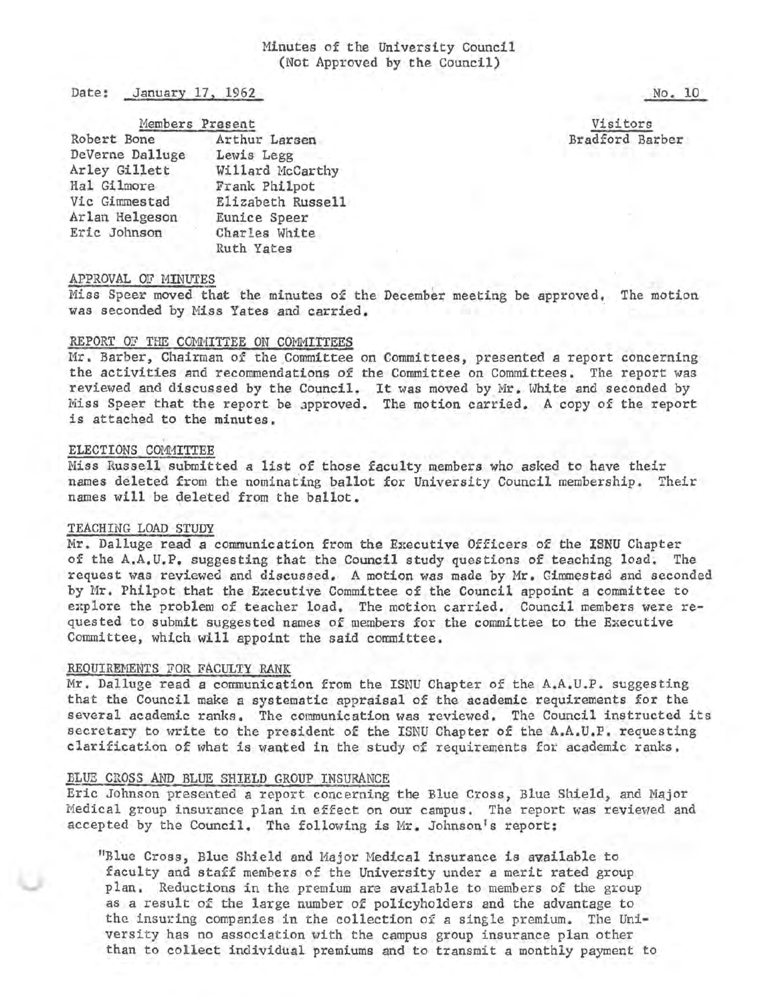## Minutes of the University Council (Not Approved by the Council)

Date: January 17. 1962

Members Present

| Robert Bone     | Arthur Larsen     |
|-----------------|-------------------|
| DeVerne Dalluge | Lewis Legg        |
| Arley Gillett   | Willard McCarthy  |
| Hal Gilmore     | Frank Philpot     |
| Vic Gimmestad   | Elizabeth Russell |
| Arlan Helgeson  | Eunice Speer      |
| Eric Johnson    | Charles White     |
|                 | Ruth Yates        |

Visitors Bradford Barber

No. 10

#### APPROVAL OF MINUTES

Miss Speer moved that the minutes of the December meeting be approved, The motion was seconded by Miss Yates and carried.

#### REPORT OF THE COMMITTEE ON COMMITTEES

Mr. Barber, Chairman of the Committee on Committees, presented a report concerning the activities and recommendations of the Committee on Committees. The report was reviewed and discussed by the Council. It was moved by Mr. White and seconded by Miss Speer that the report be approved. The motion carried. A copy of the report is attached to the minutes.

#### ELECTIONS COMMITTEE

Miss Russell submitted a list of those faculty members who asked *to* have their names deleted from the nominating ballot for University Council membership. Their names will be deleted from the ballot.

#### TEACHING LOAD STUDY

Mr. Dalluge read a communication from the Executive Officers of the ISNU Chapter of the A.A.U.P. suggesting that the Council study questions of teaching load. The request was reviewed and discussed. A motion was made by Mr. Gimmestad and seconded by Mr. Philpot that the Executive Committee of the Council appoint a committee to explore the problem of teacher load. The motion carried. Council members were requested to submit suggested names of members for the committee to the Executive Committee, which will appoint the said committee.

#### REQUIREMENTS FOR FACULTY RANK

Mr. Dalluge read a communication from the ISNU Chapter of the A.A.U.P. suggesting that the Council make a systematic appraisal of the academic requirements for the several academic ranks. The communication was reviewed. The Council instructed its secretary to write to the president of the ISNU Chapter of the A.A.U.P. requesting clarification of what is wanted in the study of requirements for academic ranks.

#### BLUE CROSS AND BLUE SHIELD GROUP INSURANCE

Eric Johnson preseuted a report concerning the Blue Cross, Blue Shield, and Major Medical group insurance plan in effect on our campus. The report was reviewed and accepted by the Council. The following is Mr. Johnson's report:

"Blue Cross, Blue Shield and Major Medical insurance is available to faculty and staff members of the University under a merit rated group plan. Reductions in the premium are available to members of the gxoup as a result of the large number of policyholders and the advantage to the insuring companies in the collection of a single premium. The Uni~ versity has no association with the campus group insurance plan other than to collect individual premiums and to transmit a monthly payment to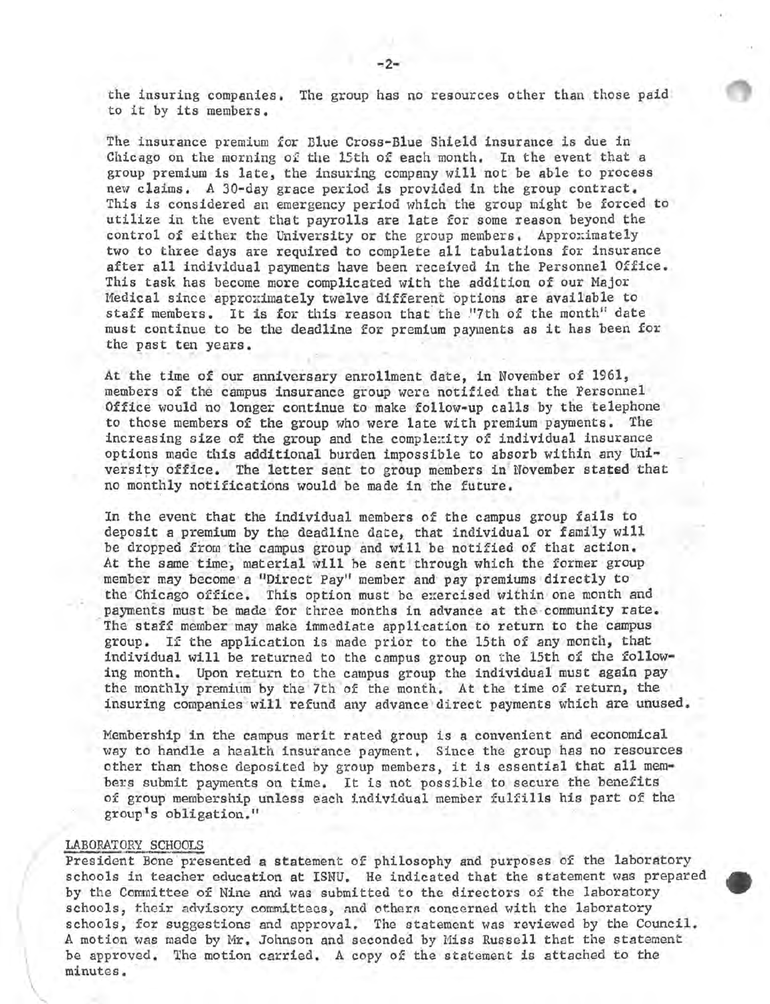the insuring companies. The group has no resources other than those paid to it by its members.

The insurance premium for Blue Cross-Blue Shield insurance is due in Chicago on the morning of the 15th of each month. In the event that a group premium is late, the insuring company will not be able *to* process new claims. A 30-day grace period is provided in the group contract. This is considered an emergency period which the group might be forced to utilize in the event that payrolls are late for some reason beyond the control of either the University or the group members. Approximately two to three days are required to complete all tabulations for insurance after all individual payments have been received in the Personnel Office. This task has become more complicated with the addition of our Major Medical since approximately twelve different options are available to staff members. It is for this reason that the "7th of the month" date must continue to be the deadline for premium payments as it has been for the past ten years.

At the time of our anniversary enrollment date, in November of 1961, members of the campus insurance group were notified that the Personnel Office would no longer continue to make follow-up calls by the telephone to those members of the group who were late with premium payments. The increasing size of the group and the complexity of individual insurance options made this additional burden impossible to absorb within any Uni-<br>versity office. The letter sent to group members in November stated that no monthly notifications would be made in the future.

In the event that the individual members of the campus group fails *to*  deposit a premium by the deadline *date,* that individual or family will be dropped from the campus group and will be notified of that action. At the same time, material will be sent through which the former group member may become a "Direct Pay" member and pay premiums directly to the Chicago office. This option must be exercised within one month and payments must be made for three months in advance at the community rate. The staff member may make immediate application to return to the campus group. If the application is made prior to the 15th of any month, that individual will be returned to the campus group on the 15th of the following month. Upon return to the campus group the individual must again pay the monthly premium by the 7th of the month. At the time of return, the insuring companies will refund any advance direct payments which are unused.

Membership in the campus merit rated group is a convenient and economical way to handle a health insurance payment. Since the group has no resources other than those deposited by group members, it is essential that all members submit payments on time. It is not possible to secure the benefits of group membership unless each individual member fulfills his part of the group's obligation."

#### LABORATORY SCHOOLS

\  $^\vee$  $\leq$  President Bone presented a statement of philosophy and purposes of the laboratory schools in teacher education at ISNU. He indicated that the statement was prepared by the Committee of Nine and was submitted to the directors of the laboratory schools, their advisory committees, and othern concerned with the laboratory schools, for suggestions and approval. The statement was reviewed by the Council. A motion was made by Mr. Johnson and seconded by Miss Russell that the statement be approved. The motion carried. A copy of the statement is attached to the minutes.

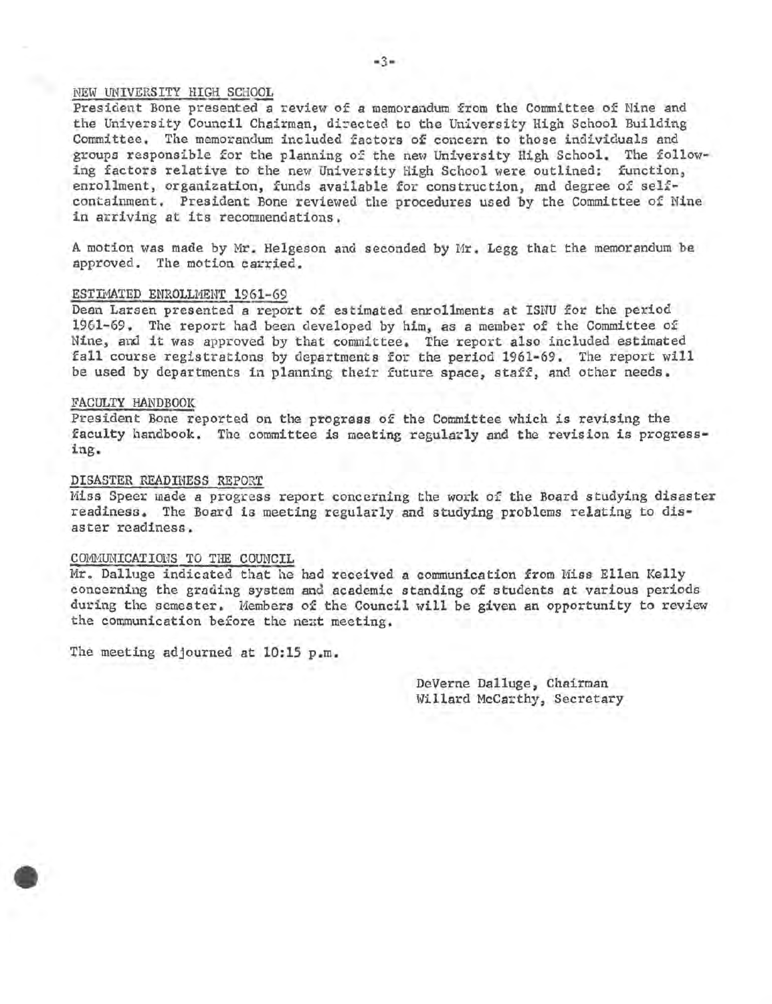## NEW UNIVERSITY HIGH SCHOOL

President Bone presented a review of a memorandum from the Committee of Nine and the University Council Chairman, directed to the University High School Building Committee. The memorandum included factors of concern to those individuals and groups responsible for the planning of the new University High School. The following factors relative to the new University High School were outlined: function, enrollment, organization, funds available for construction, and degree of selfcontainment. President Bone reviewed the procedures used by the Committee of Nine in arriving at its recommendations.

A motion was made by Mr. Helgeson and seconded by Mr. Legg that the memorandum be approved. The motion carried.

#### ESTIMATED ENROLLMENT 1961-69

Dean Larsen presented a report of estimated enrollments at ISNU for the period 1961-69. The report had been developed by him, as a member of the Committee of Nine, and it was approved by that committee. The report also included estimated fall course registrations by departments for the period 1961-69. The report will be used by departments in planning their future space, staff, and other needs.

#### FACULTY HANDBOOK

President Bone reported on the progress of the Committee which is revising the faculty handbook. The committee is meeting regularly and the revision is progressing.

#### DISASTER READINESS REPORT

Miss Speer made a progress report concerning the work of the Board studying disaster readiness. The Board is meeting regularly and studying problems relating to disaster readiness.

#### COMMUNICATIOHS TO THE COUNCIL

Mr. Dalluge indicated that he had received a communication from Miss Ellen Kelly concerning the grading system and academic standing of students at various periods during the semester. Members of the Council will be given an opportunity to review the communication before the next meeting.

The meeting adjourned at 10:15 p.m.

DeVerne Dalluge, Chairman Willard McCarthy, Secretary